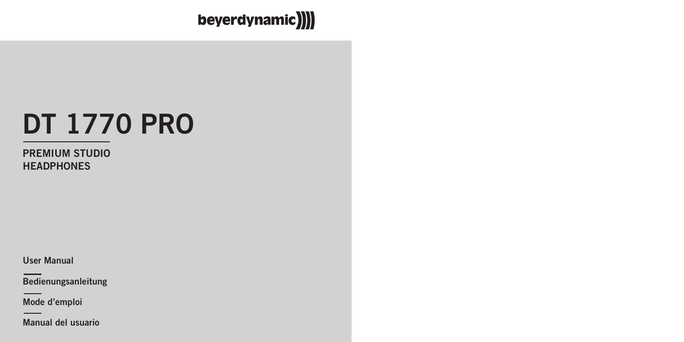beyerdynamic)))

# **DT 1770 PRO**

**PREMIUM STUDIO HEADPHONES**

**User Manual**

**Bedienungsanleitung**

**Mode d'emploi**

**Manual del usuario**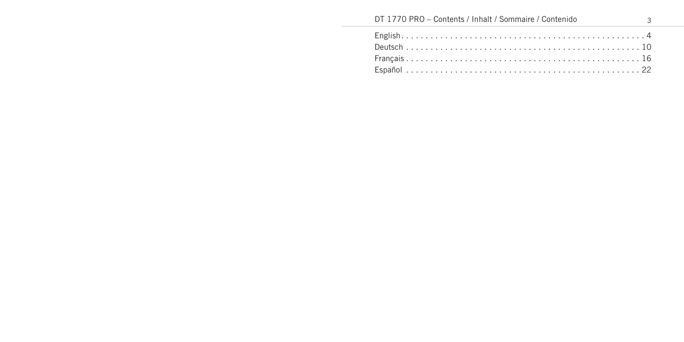# DT 1770 PRO - Contents / Inhalt / Sommaire / Contenido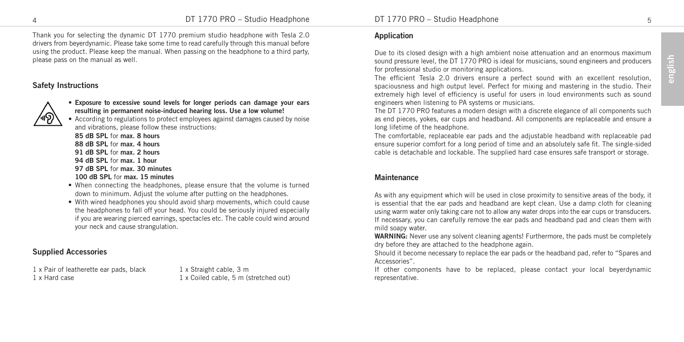Thank you for selecting the dynamic DT 1770 premium studio headphone with Tesla 2.0 drivers from beyerdynamic. Please take some time to read carefully through this manual before using the product. Please keep the manual. When passing on the headphone to a third party, please pass on the manual as well.

# **Safety Instructions**



• **Exposure to excessive sound levels for longer periods can damage your ears resulting in permanent noise-induced hearing loss. Use a low volume!**

• According to regulations to protect employees against damages caused by noise and vibrations, please follow these instructions:

**85 dB SPL** for **max. 8 hours 88 dB SPL** for **max. 4 hours 91 dB SPL** for **max. 2 hours 94 dB SPL** for **max. 1 hour 97 dB SPL** for **max. 30 minutes 100 dB SPL** for **max. 15 minutes**

- When connecting the headphones, please ensure that the volume is turned down to minimum. Adjust the volume after putting on the headphones.
- With wired headphones you should avoid sharp movements, which could cause the headphones to fall off your head. You could be seriously injured especially if you are wearing pierced earrings, spectacles etc. The cable could wind around your neck and cause strangulation.

#### **Supplied Accessories**

1 x Pair of leatherette ear pads, black  $1 \times$  Straight cable, 3 m<br>1 x Hard case

1 x Coiled cable, 5 m (stretched out)

4 DT 1770 PRO – Studio Headphone DT 1770 PRO – Studio Headphone 5

# **Application**

Due to its closed design with a high ambient noise attenuation and an enormous maximum sound pressure level, the DT 1770 PRO is ideal for musicians, sound engineers and producers for professional studio or monitoring applications.

The efficient Tesla 2.0 drivers ensure a perfect sound with an excellent resolution, spaciousness and high output level. Perfect for mixing and mastering in the studio. Their extremely high level of efficiency is useful for users in loud environments such as sound engineers when listening to PA systems or musicians.

The DT 1770 PRO features a modern design with a discrete elegance of all components such as end pieces, yokes, ear cups and headband. All components are replaceable and ensure a long lifetime of the headphone.

The comfortable, replaceable ear pads and the adjustable headband with replaceable pad ensure superior comfort for a long period of time and an absolutely safe fit. The single-sided cable is detachable and lockable. The supplied hard case ensures safe transport or storage.

#### **Maintenance**

As with any equipment which will be used in close proximity to sensitive areas of the body, it is essential that the ear pads and headband are kept clean. Use a damp cloth for cleaning using warm water only taking care not to allow any water drops into the ear cups or transducers. If necessary, you can carefully remove the ear pads and headband pad and clean them with mild soapy water.

**WARNING:** Never use any solvent cleaning agents! Furthermore, the pads must be completely dry before they are attached to the headphone again.

Should it become necessary to replace the ear pads or the headband pad, refer to "Spares and Accessories".

If other components have to be replaced, please contact your local beyerdynamic representative.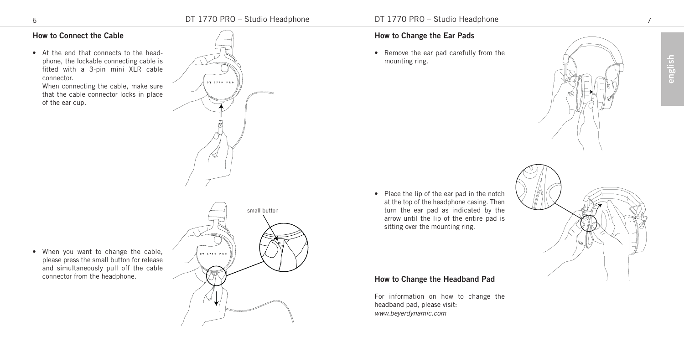$01.1770.086$ 

# **How to Connect the Cable**

• At the end that connects to the headphone, the lockable connecting cable is fitted with a 3-pin mini XLR cable connector.

When connecting the cable, make sure that the cable connector locks in place of the ear cup.

• When you want to change the cable,

connector from the headphone.

# small button $-0.71720 + 0.00$ please press the small button for release and simultaneously pull off the cable

# **How to Change the Ear Pads**

• Remove the ear pad carefully from the mounting ring.





• Place the lip of the ear pad in the notch at the top of the headphone casing. Then turn the ear pad as indicated by the arrow until the lip of the entire pad is sitting over the mounting ring.

# **How to Change the Headband Pad**

For information on how to change the headband pad, please visit: *www.beyerdynamic.com*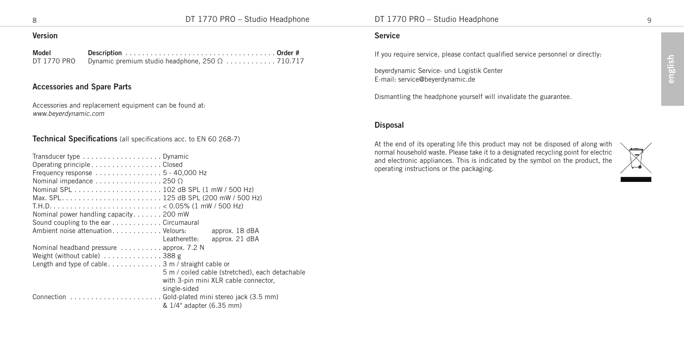### **Version**

| Model       |  |
|-------------|--|
| DT 1770 PRO |  |

# **Accessories and Spare Parts**

Accessories and replacement equipment can be found at: *www.beyerdynamic.com*

#### **Technical Specifications** (all specifications acc. to EN 60 268-7)

| Transducer type Dynamic                                    |                                                 |
|------------------------------------------------------------|-------------------------------------------------|
| Operating principleClosed                                  |                                                 |
| Frequency response $\dots\dots\dots\dots\dots5-40,000$ Hz  |                                                 |
| Nominal impedance $\dots\dots\dots\dots\dots$ 250 $\Omega$ |                                                 |
|                                                            |                                                 |
|                                                            |                                                 |
|                                                            |                                                 |
| Nominal power handling capacity 200 mW                     |                                                 |
| Sound coupling to the ear Circumaural                      |                                                 |
| Ambient noise attenuation. Velours:                        | approx. 18 dBA                                  |
|                                                            | approx, 21 dBA<br>Leatherette:                  |
| Nominal headband pressure  approx. 7.2 N                   |                                                 |
| Weight (without cable) 388 g                               |                                                 |
|                                                            |                                                 |
|                                                            | 5 m / coiled cable (stretched), each detachable |
|                                                            | with 3-pin mini XLR cable connector,            |
|                                                            | single-sided                                    |
|                                                            |                                                 |
|                                                            | & 1/4" adapter (6.35 mm)                        |

#### **Service**

If you require service, please contact qualified service personnel or directly:

beyerdynamic Service- und Logistik Center E-mail: service@beyerdynamic.de

Dismantling the headphone yourself will invalidate the guarantee.

#### **Disposal**

At the end of its operating life this product may not be disposed of along with normal household waste. Please take it to a designated recycling point for electric and electronic appliances. This is indicated by the symbol on the product, the operating instructions or the packaging.

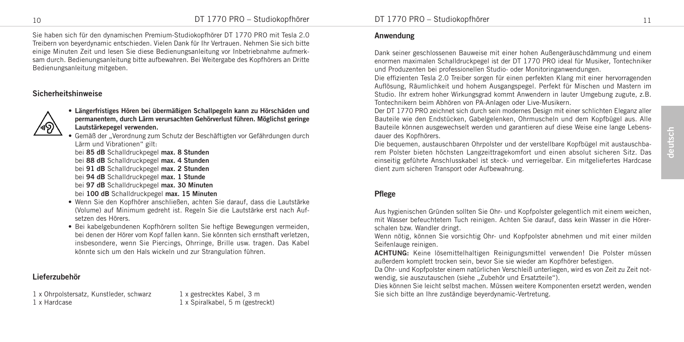Sie haben sich für den dynamischen Premium-Studiokopfhörer DT 1770 PRO mit Tesla 2.0 Treibern von beyerdynamic entschieden. Vielen Dank für Ihr Vertrauen. Nehmen Sie sich bitte einige Minuten Zeit und lesen Sie diese Bedienungsanleitung vor Inbetriebnahme aufmerksam durch. Bedienungsanleitung bitte aufbewahren. Bei Weitergabe des Kopfhörers an Dritte Bedienungsanleitung mitgeben.

## **Sicherheitshinweise**



• **Längerfristiges Hören bei übermäßigen Schallpegeln kann zu Hörschäden und permanentem, durch Lärm verursachten Gehörverlust führen. Möglichst geringe Lautstärkepegel verwenden.**

• Gemäß der "Verordnung zum Schutz der Beschäftigten vor Gefährdungen durch Lärm und Vibrationen" gilt:

- bei **85 dB** Schalldruckpegel **max. 8 Stunden**
- bei **88 dB** Schalldruckpegel **max. 4 Stunden**
- bei **91 dB** Schalldruckpegel **max. 2 Stunden**
- bei **94 dB** Schalldruckpegel **max. 1 Stunde**
- bei **97 dB** Schalldruckpegel **max. 30 Minuten**
- bei **100 dB** Schalldruckpegel **max. 15 Minuten**
- Wenn Sie den Kopfhörer anschließen, achten Sie darauf, dass die Lautstärke (Volume) auf Minimum gedreht ist. Regeln Sie die Lautstärke erst nach Aufsetzen des Hörers.
- Bei kabelgebundenen Kopfhörern sollten Sie heftige Bewegungen vermeiden, bei denen der Hörer vom Kopf fallen kann. Sie könnten sich ernsthaft verletzen, insbesondere, wenn Sie Piercings, Ohrringe, Brille usw. tragen. Das Kabel könnte sich um den Hals wickeln und zur Strangulation führen.

# **Lieferzubehör**

1 x Ohrpolstersatz, Kunstleder, schwarz 1 x gestrecktes Kabel, 3 m 1 x Hardcase 1 x Spiralkabel, 5 m (gestreckt)

#### **Anwendung**

Dank seiner geschlossenen Bauweise mit einer hohen Außengeräuschdämmung und einem enormen maximalen Schalldruckpegel ist der DT 1770 PRO ideal für Musiker, Tontechniker und Produzenten bei professionellen Studio- oder Monitoringanwendungen.

Die effizienten Tesla 2.0 Treiber sorgen für einen perfekten Klang mit einer hervorragenden Auflösung, Räumlichkeit und hohem Ausgangspegel. Perfekt für Mischen und Mastern im Studio. Ihr extrem hoher Wirkungsgrad kommt Anwendern in lauter Umgebung zugute, z.B. Tontechnikern beim Abhören von PA- Anlagen oder Live-Musikern.

Der DT 1770 PRO zeichnet sich durch sein modernes Design mit einer schlichten Eleganz aller Bauteile wie den Endstücken, Gabelgelenken, Ohrmuscheln und dem Kopfbügel aus. Alle Bauteile können ausgewechselt werden und garantieren auf diese Weise eine lange Lebensdauer des Kopfhörers.

Die bequemen, austauschbaren Ohrpolster und der verstellbare Kopfbügel mit austauschbarem Polster bieten höchsten Langzeittragekomfort und einen absolut sicheren Sitz. Das einseitig geführte Anschlusskabel ist steck- und verriegelbar. Ein mitgeliefertes Hardcase dient zum sicheren Transport oder Aufbewahrung.

#### **Pflege**

Aus hygienischen Gründen sollten Sie Ohr- und Kopfpolster gelegentlich mit einem weichen, mit Wasser befeuchtetem Tuch reinigen. Achten Sie darauf, dass kein Wasser in die Hörerschalen bzw. Wandler dringt.

Wenn nötig, können Sie vorsichtig Ohr- und Kopfpolster abnehmen und mit einer milden Seifenlauge reinigen.

**ACHTUNG:** Keine lösemittelhaltigen Reinigungsmittel verwenden! Die Polster müssen außerdem komplett trocken sein, bevor Sie sie wieder am Kopfhörer befestigen.

Da Ohr- und Kopfpolster einem natürlichen Verschleiß unterliegen, wird es von Zeit zu Zeit notwendig, sie auszutauschen (siehe "Zubehör und Ersatzteile").

Dies können Sie leicht selbst machen. Müssen weitere Komponenten ersetzt werden, wenden Sie sich bitte an Ihre zuständige beyerdynamic-Vertretung.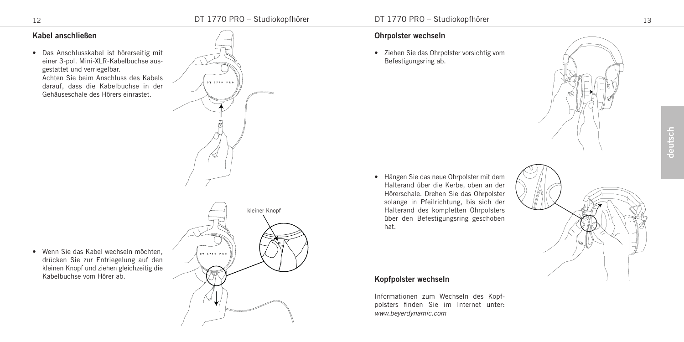$01.1770.086$ 

# **Kabel anschließen**

• Das Anschlusskabel ist hörerseitig mit einer 3-pol. Mini-XLR-Kabelbuchse ausgestattet und verriegelbar. Achten Sie beim Anschluss des Kabels darauf, dass die Kabelbuchse in der Gehäuseschale des Hörers einrastet.

# kleiner Knopf $-0.71720 + 0.0001$

• Wenn Sie das Kabel wechseln möchten, drücken Sie zur Entriegelung auf den kleinen Knopf und ziehen gleichzeitig die Kabelbuchse vom Hörer ab.



# **Ohrpolster wechseln**

• Ziehen Sie das Ohrpolster vorsichtig vom Befestigungsring ab.





# Hörerschale. Drehen Sie das Ohrpolster solange in Pfeilrichtung, bis sich der Halterand des kompletten Ohrpolsters über den Befestigungsring geschoben hat.

• Hängen Sie das neue Ohrpolster mit dem Halterand über die Kerbe, oben an der

# **Kopfpolster wechseln**

Informationen zum Wechseln des Kopfpolsters finden Sie im Internet unter: *www.beyerdynamic.com*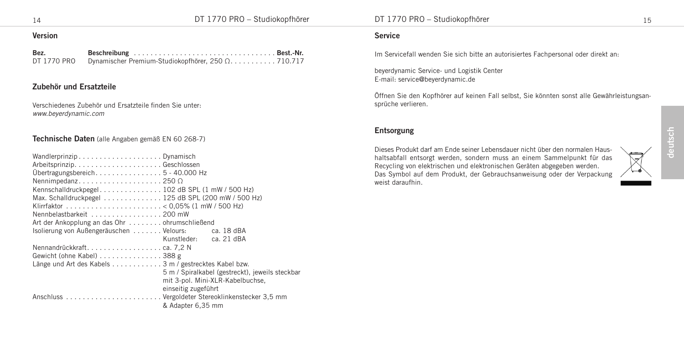## **Version**

| Bez.        |                                                   |  |
|-------------|---------------------------------------------------|--|
| DT 1770 PRO | Dynamischer Premium-Studiokopfhörer, 250 Ω710.717 |  |

## **Zubehör und Ersatzteile**

Verschiedenes Zubehör und Ersatzteile finden Sie unter: *www.beyerdynamic.com*

#### **Technische Daten** (alle Angaben gemäß EN 60 268-7)

| WandlerprinzipDynamisch                               |                                                 |
|-------------------------------------------------------|-------------------------------------------------|
|                                                       |                                                 |
| Übertragungsbereich5-40.000 Hz                        |                                                 |
| Nennimpedanz250 $\Omega$                              |                                                 |
| Kennschalldruckpegel 102 dB SPL (1 mW / 500 Hz)       |                                                 |
| Max. Schalldruckpegel 125 dB SPL (200 mW / 500 Hz)    |                                                 |
|                                                       |                                                 |
| Nennbelastbarkeit 200 mW                              |                                                 |
| Art der Ankopplung an das Ohr ohrumschließend         |                                                 |
| Isolierung von Außengeräuschen  Velours:              | ca. 18 dBA                                      |
|                                                       | ca. 21 dBA<br>Kunstleder:                       |
|                                                       |                                                 |
| Gewicht (ohne Kabel) 388 g                            |                                                 |
| Länge und Art des Kabels 3 m / gestrecktes Kabel bzw. |                                                 |
|                                                       | 5 m / Spiralkabel (gestreckt), jeweils steckbar |
|                                                       | mit 3-pol. Mini-XLR-Kabelbuchse,                |
|                                                       | einseitig zugeführt                             |
|                                                       |                                                 |
|                                                       | & Adapter 6.35 mm                               |

#### **Service**

Im Servicefall wenden Sie sich bitte an autorisiertes Fachpersonal oder direkt an:

beyerdynamic Service- und Logistik Center E-mail: service@beyerdynamic.de

Öffnen Sie den Kopfhörer auf keinen Fall selbst, Sie könnten sonst alle Gewährleistungsansprüche verlieren.

# **Entsorgung**

Dieses Produkt darf am Ende seiner Lebensdauer nicht über den normalen Haushaltsabfall entsorgt werden, sondern muss an einem Sammelpunkt für das Recycling von elektrischen und elektronischen Geräten abgegeben werden. Das Symbol auf dem Produkt, der Gebrauchsanweisung oder der Verpackung weist daraufhin.

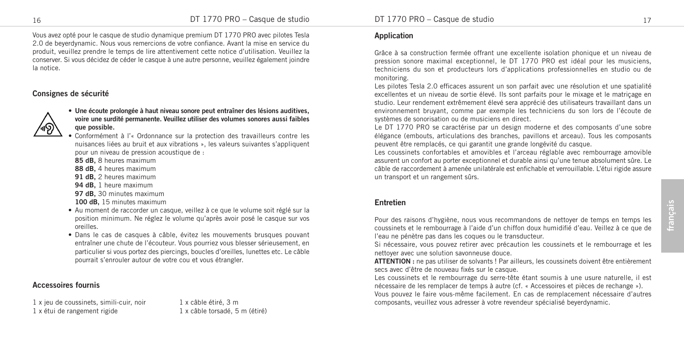Vous avez opté pour le casque de studio dynamique premium DT 1770 PRO avec pilotes Tesla 2.0 de beyerdynamic. Nous vous remercions de votre confiance. Avant la mise en service du produit, veuillez prendre le temps de lire attentivement cette notice d'utilisation. Veuillez la conserver. Si vous décidez de céder le casque à une autre personne, veuillez également joindre la notice.

# **Consignes de sécurité**



#### • **Une écoute prolongée à haut niveau sonore peut entraîner des lésions auditives, voire une surdité permanente. Veuillez utiliser des volumes sonores aussi faibles que possible.**

• Conformément à l'« Ordonnance sur la protection des travailleurs contre les nuisances liées au bruit et aux vibrations », les valeurs suivantes s'appliquent pour un niveau de pression acoustique de :

- **85 dB,** 8 heures maximum
- **88 dB,** 4 heures maximum
- **91 dB,** 2 heures maximum
- **94 dB,** 1 heure maximum
- **97 dB,** 30 minutes maximum
- **100 dB,** 15 minutes maximum
- Au moment de raccorder un casque, veillez à ce que le volume soit réglé sur la position minimum. Ne réglez le volume qu'après avoir posé le casque sur vos oreilles.
- Dans le cas de casques à câble, évitez les mouvements brusques pouvant entraîner une chute de l'écouteur. Vous pourriez vous blesser sérieusement, en particulier si vous portez des piercings, boucles d'oreilles, lunettes etc. Le câble pourrait s'enrouler autour de votre cou et vous étrangler.

# **Accessoires fournis**

1 x jeu de coussinets, simili-cuir, noir 1 x câble étiré, 3 m 1 x étui de rangement rigide 1 x câble torsadé, 5 m (étiré)

# **Application**

Grâce à sa construction fermée offrant une excellente isolation phonique et un niveau de pression sonore maximal exceptionnel, le DT 1770 PRO est idéal pour les musiciens, techniciens du son et producteurs lors d'applications professionnelles en studio ou de monitoring.

Les pilotes Tesla 2.0 efficaces assurent un son parfait avec une résolution et une spatialité excellentes et un niveau de sortie élevé. Ils sont parfaits pour le mixage et le matriçage en studio. Leur rendement extrêmement élevé sera apprécié des utilisateurs travaillant dans un environnement bruyant, comme par exemple les techniciens du son lors de l'écoute de systèmes de sonorisation ou de musiciens en direct.

Le DT 1770 PRO se caractérise par un design moderne et des composants d'une sobre élégance (embouts, articulations des branches, pavillons et arceau). Tous les composants peuvent être remplacés, ce qui garantit une grande longévité du casque.

Les coussinets confortables et amovibles et l'arceau réglable avec rembourrage amovible assurent un confort au porter exceptionnel et durable ainsi qu'une tenue absolument sûre. Le câble de raccordement à amenée unilatérale est enfichable et verrouillable. L'étui rigide assure un transport et un rangement sûrs.

# **Entretien**

Pour des raisons d'hygiène, nous vous recommandons de nettoyer de temps en temps les coussinets et le rembourrage à l'aide d'un chiffon doux humidifié d'eau. Veillez à ce que de l'eau ne pénètre pas dans les coques ou le transducteur.

Si nécessaire, vous pouvez retirer avec précaution les coussinets et le rembourrage et les nettoyer avec une solution savonneuse douce.

**ATTENTION :** ne pas utiliser de solvants ! Par ailleurs, les coussinets doivent être entièrement secs avec d'être de nouveau fixés sur le casque.

Les coussinets et le rembourrage du serre-tête étant soumis à une usure naturelle, il est nécessaire de les remplacer de temps à autre (cf. « Accessoires et pièces de rechange »). Vous pouvez le faire vous-même facilement. En cas de remplacement nécessaire d'autres composants, veuillez vous adresser à votre revendeur spécialisé beyerdynamic.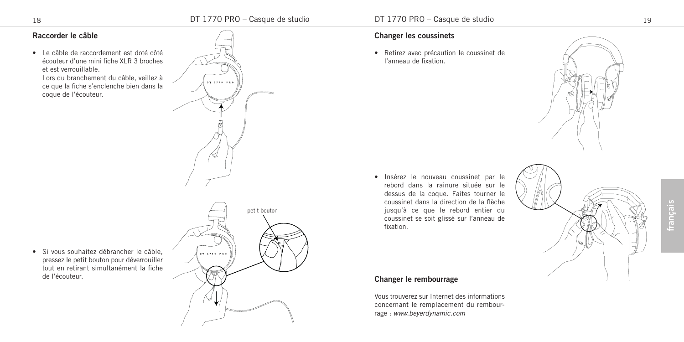$-07.1770.38$ 

# **Raccorder le câble**

• Le câble de raccordement est doté côté écouteur d'une mini fiche XLR 3 broches et est verrouillable.

Lors du branchement du câble, veillez à ce que la fiche s'enclenche bien dans la coque de l'écouteur.

• Si vous souhaitez débrancher le câble, pressez le petit bouton pour déverrouiller tout en retirant simultanément la fiche

de l'écouteur.

# petit bouton $-0.71720 + 0.0001$

### **Changer les coussinets**

• Retirez avec précaution le coussinet de l'anneau de fixation.



• Insérez le nouveau coussinet par le rebord dans la rainure située sur le dessus de la coque. Faites tourner le coussinet dans la direction de la flèche jusqu'à ce que le rebord entier du coussinet se soit glissé sur l'anneau de fixation.

# **Changer le rembourrage**

Vous trouverez sur Internet des informations concernant le remplacement du rembourrage : *www.beyerdynamic.com*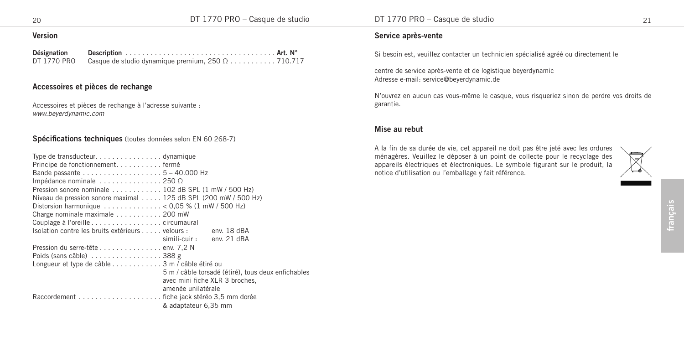## **Version**

| Désignation |                                                          |  |
|-------------|----------------------------------------------------------|--|
| DT 1770 PRO | Casque de studio dynamique premium, $250 \Omega$ 710.717 |  |

## **Accessoires et pièces de rechange**

Accessoires et pièces de rechange à l'adresse suivante : *www.beyerdynamic.com*

#### **Spécifications techniques** (toutes données selon EN 60 268-7)

| Type de transducteur. $\dots\dots\dots\dots\dots$ . dynamique                       |  |  |  |  |  |  |
|-------------------------------------------------------------------------------------|--|--|--|--|--|--|
| Principe de fonctionnementfermé                                                     |  |  |  |  |  |  |
|                                                                                     |  |  |  |  |  |  |
| Impédance nominale $\dots\dots\dots\dots\dots$ 250 $\Omega$                         |  |  |  |  |  |  |
| Pression sonore nominale 102 dB SPL (1 mW / 500 Hz)                                 |  |  |  |  |  |  |
| Niveau de pression sonore maximal 125 dB SPL (200 mW / 500 Hz)                      |  |  |  |  |  |  |
| Distorsion harmonique $\ldots \ldots \ldots \ldots \ldots$ < 0,05 % (1 mW / 500 Hz) |  |  |  |  |  |  |
| Charge nominale maximale $\ldots \ldots \ldots$ . 200 mW                            |  |  |  |  |  |  |
|                                                                                     |  |  |  |  |  |  |
| Isolation contre les bruits extérieurs velours :<br>env. 18 dBA                     |  |  |  |  |  |  |
| env. 21 dBA<br>simili-cuir :                                                        |  |  |  |  |  |  |
| Pression du serre-tête env. 7,2 N                                                   |  |  |  |  |  |  |
| Poids (sans câble) $\ldots \ldots \ldots \ldots \ldots$ 388 g                       |  |  |  |  |  |  |
| Longueur et type de câble 3 m / câble étiré ou                                      |  |  |  |  |  |  |
| 5 m / câble torsadé (étiré), tous deux enfichables                                  |  |  |  |  |  |  |
| avec mini fiche XLR 3 broches.                                                      |  |  |  |  |  |  |
| amenée unilatérale                                                                  |  |  |  |  |  |  |
|                                                                                     |  |  |  |  |  |  |
| & adaptateur 6.35 mm                                                                |  |  |  |  |  |  |

#### **Service après-vente**

Si besoin est, veuillez contacter un technicien spécialisé agréé ou directement le

centre de service après-vente et de logistique beyerdynamic Adresse e-mail: service@beyerdynamic.de

N'ouvrez en aucun cas vous-même le casque, vous risqueriez sinon de perdre vos droits de garantie.

#### **Mise au rebut**

A la fin de sa durée de vie, cet appareil ne doit pas être jeté avec les ordures ménagères. Veuillez le déposer à un point de collecte pour le recyclage des appareils électriques et électroniques. Le symbole figurant sur le produit, la notice d'utilisation ou l'emballage y fait référence.

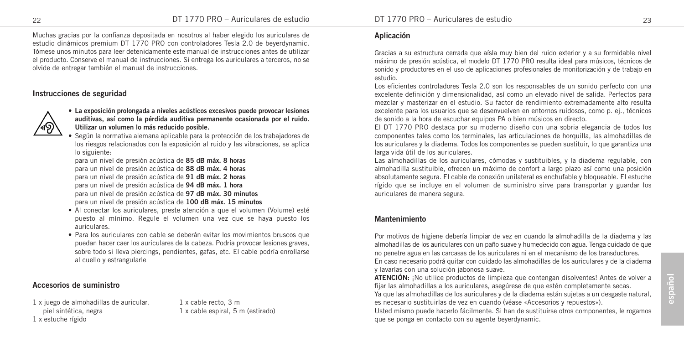Muchas gracias por la confianza depositada en nosotros al haber elegido los auriculares de estudio dinámicos premium DT 1770 PRO con controladores Tesla 2.0 de beyerdynamic. Tómese unos minutos para leer detenidamente este manual de instrucciones antes de utilizar el producto. Conserve el manual de instrucciones. Si entrega los auriculares a terceros, no se olvide de entregar también el manual de instrucciones.

# **Instrucciones de seguridad**



• **La exposición prolongada a niveles acústicos excesivos puede provocar lesiones auditivas, así como la pérdida auditiva permanente ocasionada por el ruido. Utilizar un volumen lo más reducido posible.**

• Según la normativa alemana aplicable para la protección de los trabajadores de los riesgos relacionados con la exposición al ruido y las vibraciones, se aplica lo siguiente:

para un nivel de presión acústica de **85 dB máx. 8 horas** para un nivel de presión acústica de **88 dB máx. 4 horas** para un nivel de presión acústica de **91 dB máx. 2 horas** para un nivel de presión acústica de **94 dB máx. 1 hora** para un nivel de presión acústica de **97 dB máx. 30 minutos** para un nivel de presión acústica de **100 dB máx. 15 minutos**

- Al conectar los auriculares, preste atención a que el volumen (Volume) esté puesto al mínimo. Regule el volumen una vez que se haya puesto los auriculares.
- Para los auriculares con cable se deberán evitar los movimientos bruscos que puedan hacer caer los auriculares de la cabeza. Podría provocar lesiones graves, sobre todo si lleva piercings, pendientes, gafas, etc. El cable podría enrollarse al cuello y estrangularle

# **Accesorios de suministro**

1 x juego de almohadillas de auricular. 1 x cable recto, 3 m piel sintética, negra 1 x cable espiral, 5 m (estirado) 1 x estuche rígido

#### **Aplicación**

Gracias a su estructura cerrada que aísla muy bien del ruido exterior y a su formidable nivel máximo de presión acústica, el modelo DT 1770 PRO resulta ideal para músicos, técnicos de sonido y productores en el uso de aplicaciones profesionales de monitorización y de trabajo en estudio.

Los eficientes controladores Tesla 2.0 son los responsables de un sonido perfecto con una excelente definición y dimensionalidad, así como un elevado nivel de salida. Perfectos para mezclar y masterizar en el estudio. Su factor de rendimiento extremadamente alto resulta excelente para los usuarios que se desenvuelven en entornos ruidosos, como p. ej., técnicos de sonido a la hora de escuchar equipos PA o bien músicos en directo.

El DT 1770 PRO destaca por su moderno diseño con una sobria elegancia de todos los componentes tales como los terminales, las articulaciones de horquilla, las almohadillas de los auriculares y la diadema. Todos los componentes se pueden sustituir, lo que garantiza una larga vida útil de los auriculares.

Las almohadillas de los auriculares, cómodas y sustituibles, y la diadema regulable, con almohadilla sustituible, ofrecen un máximo de confort a largo plazo así como una posición absolutamente segura. El cable de conexión unilateral es enchufable y bloqueable. El estuche rígido que se incluye en el volumen de suministro sirve para transportar y guardar los auriculares de manera segura.

#### **Mantenimiento**

Por motivos de higiene debería limpiar de vez en cuando la almohadilla de la diadema y las almohadillas de los auriculares con un paño suave y humedecido con agua. Tenga cuidado de que no penetre agua en las carcasas de los auriculares ni en el mecanismo de los transductores.

En caso necesario podrá quitar con cuidado las almohadillas de los auriculares y de la diadema y lavarlas con una solución jabonosa suave.

**ATENCIÓN:** ¡No utilice productos de limpieza que contengan disolventes! Antes de volver a fijar las almohadillas a los auriculares, asegúrese de que estén completamente secas.

Ya que las almohadillas de los auriculares y de la diadema están sujetas a un desgaste natural, es necesario sustituirlas de vez en cuando (véase «Accesorios y repuestos»).

Usted mismo puede hacerlo fácilmente. Si han de sustituirse otros componentes, le rogamos que se ponga en contacto con su agente beyerdynamic.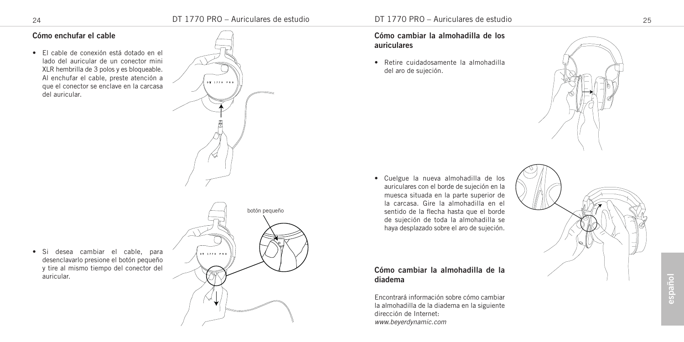# **Cómo enchufar el cable**

• El cable de conexión está dotado en el lado del auricular de un conector mini XLR hembrilla de 3 polos y es bloqueable. Al enchufar el cable, preste atención a que el conector se enclave en la carcasa del auricular.



**Cómo cambiar la almohadilla de los auriculares**

• Retire cuidadosamente la almohadilla del aro de sujeción.

• Cuelgue la nueva almohadilla de los auriculares con el borde de sujeción en la muesca situada en la parte superior de la carcasa. Gire la almohadilla en el sentido de la flecha hasta que el borde de sujeción de toda la almohadilla se haya desplazado sobre el aro de sujeción.

**Cómo cambiar la almohadilla de la**

Encontrará información sobre cómo cambiar la almohadilla de la diadema en la siguiente

**diadema**

dirección de Internet: *www.beyerdynamic.com*





• Si desea cambiar el cable, para desenclavarlo presione el botón pequeño y tire al mismo tiempo del conector del auricular.

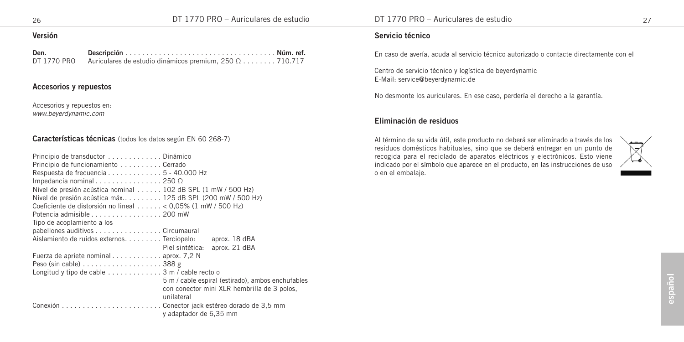## **Versión**

| Den.        |                                                                |  |
|-------------|----------------------------------------------------------------|--|
| DT 1770 PRO | Auriculares de estudio dinámicos premium, $250 \Omega$ 710.717 |  |

# **Accesorios y repuestos**

Accesorios y repuestos en: *www.beyerdynamic.com*

#### **Características técnicas** (todos los datos según EN 60 268-7)

| Principio de transductor Dinámico                                    |                                                   |
|----------------------------------------------------------------------|---------------------------------------------------|
| Principio de funcionamiento  Cerrado                                 |                                                   |
| Respuesta de frecuencia 5 - 40.000 Hz                                |                                                   |
| Impedancia nominal $\ldots \ldots \ldots \ldots \ldots$ 250 $\Omega$ |                                                   |
| Nivel de presión acústica nominal 102 dB SPL (1 mW / 500 Hz)         |                                                   |
| Nivel de presión acústica máx 125 dB SPL (200 mW / 500 Hz)           |                                                   |
| Coeficiente de distorsión no lineal < 0,05% (1 mW / 500 Hz)          |                                                   |
| Potencia admisible 200 mW                                            |                                                   |
| Tipo de acoplamiento a los                                           |                                                   |
| pabellones auditivos Circumaural                                     |                                                   |
| Aislamiento de ruidos externos. Terciopelo:                          | aprox. 18 dBA                                     |
|                                                                      | Piel sintética: aprox. 21 dBA                     |
| Fuerza de apriete nominal aprox. 7,2 N                               |                                                   |
| Peso (sin cable) $\dots \dots \dots \dots \dots \dots 388$ g         |                                                   |
| Longitud y tipo de cable $\dots\dots\dots\dots$ 3 m / cable recto o  |                                                   |
|                                                                      | 5 m / cable espiral (estirado), ambos enchufables |
|                                                                      | con conector mini XLR hembrilla de 3 polos,       |
| unilateral                                                           |                                                   |
|                                                                      |                                                   |
|                                                                      | y adaptador de 6,35 mm                            |

#### **Servicio técnico**

En caso de avería, acuda al servicio técnico autorizado o contacte directamente con el

Centro de servicio técnico y logística de beyerdynamic E-Mail: service@beyerdynamic.de

No desmonte los auriculares. En ese caso, perdería el derecho a la garantía.

#### **Eliminación de residuos**

Al término de su vida útil, este producto no deberá ser eliminado a través de los residuos domésticos habituales, sino que se deberá entregar en un punto de recogida para el reciclado de aparatos eléctricos y electrónicos. Esto viene indicado por el símbolo que aparece en el producto, en las instrucciones de uso o en el embalaje.